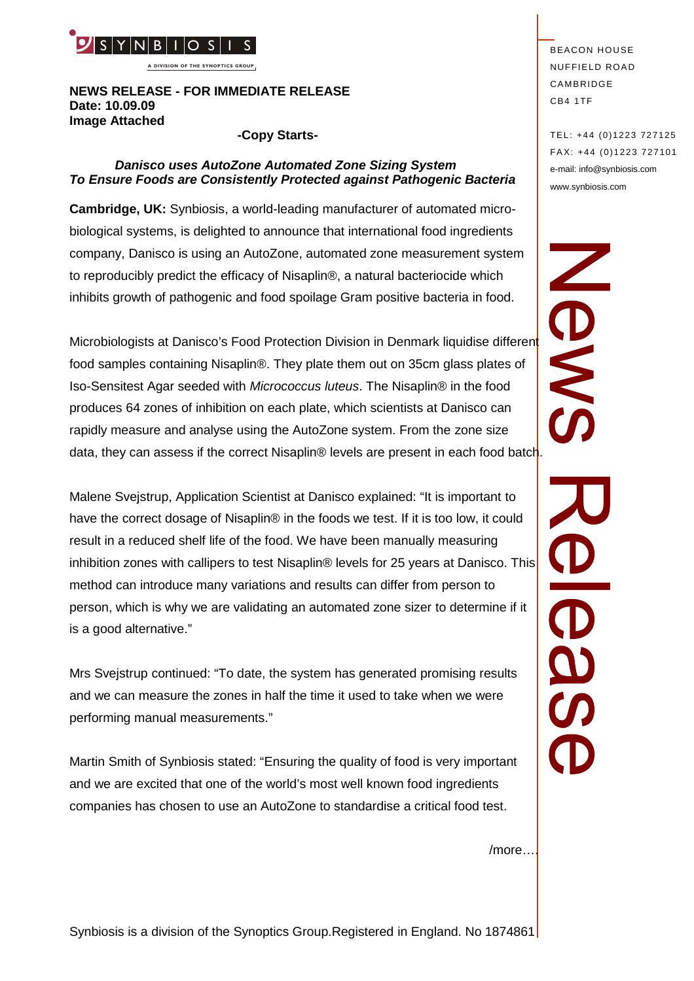

**A DIVISION OF THE SYNOPTICS GROUP**

### **NEWS RELEASE - FOR IMMEDIATE RELEASE Date: 10.09.09 Image Attached**

#### **-Copy Starts-**

# *Danisco uses AutoZone Automated Zone Sizing System To Ensure Foods are Consistently Protected against Pathogenic Bacteria*

**Cambridge, UK:** Synbiosis, a world-leading manufacturer of automated microbiological systems, is delighted to announce that international food ingredients company, Danisco is using an AutoZone, automated zone measurement system to reproducibly predict the efficacy of Nisaplin®, a natural bacteriocide which inhibits growth of pathogenic and food spoilage Gram positive bacteria in food.

Microbiologists at Danisco's Food Protection Division in Denmark liquidise different food samples containing Nisaplin®. They plate them out on 35cm glass plates of Iso-Sensitest Agar seeded with *Micrococcus luteus*. The Nisaplin® in the food produces 64 zones of inhibition on each plate, which scientists at Danisco can rapidly measure and analyse using the AutoZone system. From the zone size data, they can assess if the correct Nisaplin® levels are present in each food batch.

Malene Svejstrup, Application Scientist at Danisco explained: "It is important to have the correct dosage of Nisaplin® in the foods we test. If it is too low, it could result in a reduced shelf life of the food. We have been manually measuring inhibition zones with callipers to test Nisaplin® levels for 25 years at Danisco. This method can introduce many variations and results can differ from person to is a good alternative."

person, which is why we are validating an automated zone sizer to determine if it<br>is a good alternative."<br>Mrs Svejstrup continued: "To date, the system has generated promising results<br>and we can measure the zones in half t Mrs Svejstrup continued: "To date, the system has generated promising results and we can measure the zones in half the time it used to take when we were performing manual measurements."

Martin Smith of Synbiosis stated: "Ensuring the quality of food is very important and we are excited that one of the world's most well known food ingredients companies has chosen to use an AutoZone to standardise a critical food test.

**BEACON HOUSE NUFFIELD ROAD** CAMBRIDGE CB4 1TF

TEL: +44 (0)1223 727125 FA X: +44 (0)1223 727101 e-mail: info@synbiosis.com www.synbiosis.com

ONSW

/more….